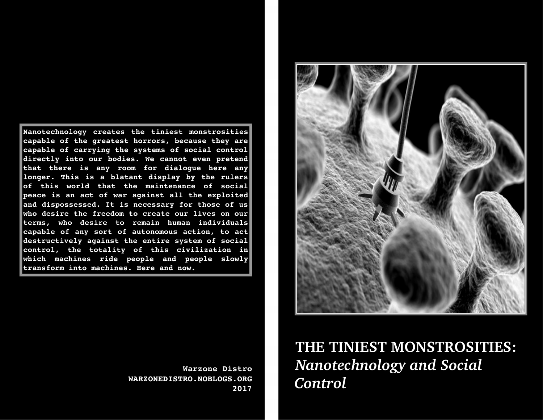**Nanotechnology creates the tiniest monstrosities capable of the greatest horrors, because they are capable of carrying the systems of social control directly into our bodies. We cannot even pretend that there is any room for dialogue here any longer. This is a blatant display by the rulers of this world that the maintenance of social peace is an act of war against all the exploited and dispossessed. It is necessary for those of us who desire the freedom to create our lives on our terms, who desire to remain human individuals capable of any sort of autonomous action, to act destructively against the entire system of social control, the totality of this civilization in which machines ride people and people slowly transform into machines. Here and now.**



**Warzone Distro WARZONEDISTRO.NOBLOGS.ORG 2017**

## **THE TINIEST MONSTROSITIES:**  *Nanotechnology and Social CControl*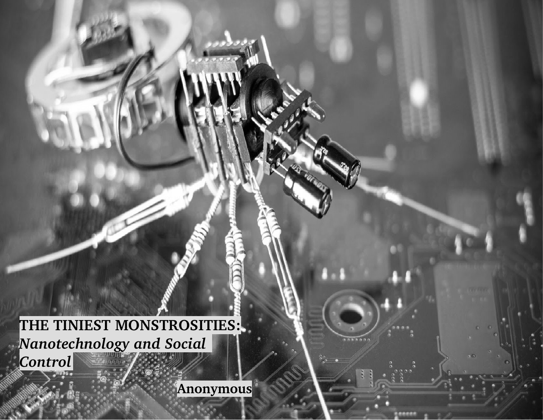**THE TINIEST MONSTROSITIES:** *Nanotechnology and Social Control*

 **Anonymous**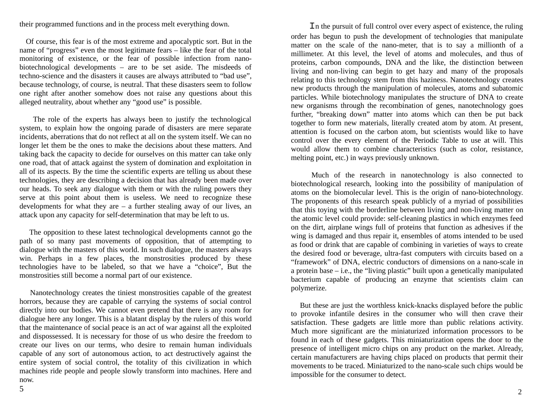their programmed functions and in the process melt everything down.

 Of course, this fear is of the most extreme and apocalyptic sort. But in the name of "progress" even the most legitimate fears – like the fear of the total monitoring of existence, or the fear of possible infection from nanobiotechnological developments – are to be set aside. The misdeeds of techno-science and the disasters it causes are always attributed to "bad use", because technology, of course, is neutral. That these disasters seem to follow one right after another somehow does not raise any questions about this alleged neutrality, about whether any "good use" is possible.

 The role of the experts has always been to justify the technological system, to explain how the ongoing parade of disasters are mere separate incidents, aberrations that do not reflect at all on the system itself. We can no longer let them be the ones to make the decisions about these matters. And taking back the capacity to decide for ourselves on this matter can take only one road, that of attack against the system of domination and exploitation in all of its aspects. By the time the scientific experts are telling us about these technologies, they are describing a decision that has already been made over our heads. To seek any dialogue with them or with the ruling powers they serve at this point about them is useless. We need to recognize these developments for what they are  $-$  a further stealing away of our lives, an attack upon any capacity for self-determination that may be left to us.

 The opposition to these latest technological developments cannot go the path of so many past movements of opposition, that of attempting to dialogue with the masters of this world. In such dialogue, the masters always win. Perhaps in a few places, the monstrosities produced by these technologies have to be labeled, so that we have a "choice", But the monstrosities still become a normal part of our existence.

 Nanotechnology creates the tiniest monstrosities capable of the greatest horrors, because they are capable of carrying the systems of social control directly into our bodies. We cannot even pretend that there is any room for dialogue here any longer. This is a blatant display by the rulers of this world that the maintenance of social peace is an act of war against all the exploited and dispossessed. It is necessary for those of us who desire the freedom to create our lives on our terms, who desire to remain human individuals capable of any sort of autonomous action, to act destructively against the entire system of social control, the totality of this civilization in which machines ride people and people slowly transform into machines. Here and now.

 In the pursuit of full control over every aspect of existence, the ruling order has begun to push the development of technologies that manipulate matter on the scale of the nano-meter, that is to say a millionth of a millimeter. At this level, the level of atoms and molecules, and thus of proteins, carbon compounds, DNA and the like, the distinction between living and non-living can begin to get hazy and many of the proposals relating to this technology stem from this haziness. Nanotechnology creates new products through the manipulation of molecules, atoms and subatomic particles. While biotechnology manipulates the structure of DNA to create new organisms through the recombination of genes, nanotechnology goes further, "breaking down" matter into atoms which can then be put back together to form new materials, literally created atom by atom. At present, attention is focused on the carbon atom, but scientists would like to have control over the every element of the Periodic Table to use at will. This would allow them to combine characteristics (such as color, resistance, melting point, etc.) in ways previously unknown.

 Much of the research in nanotechnology is also connected to biotechnological research, looking into the possibility of manipulation of atoms on the biomolecular level. This is the origin of nano-biotechnology. The proponents of this research speak publicly of a myriad of possibilities that this toying with the borderline between living and non-living matter on the atomic level could provide: self-cleaning plastics in which enzymes feed on the dirt, airplane wings full of proteins that function as adhesives if the wing is damaged and thus repair it, ensembles of atoms intended to be used as food or drink that are capable of combining in varieties of ways to create the desired food or beverage, ultra-fast computers with circuits based on a "framework" of DNA, electric conductors of dimensions on a nano-scale in a protein base – i.e., the "living plastic" built upon a genetically manipulated bacterium capable of producing an enzyme that scientists claim can polymerize.

 But these are just the worthless knick-knacks displayed before the public to provoke infantile desires in the consumer who will then crave their satisfaction. These gadgets are little more than public relations activity. Much more significant are the miniaturized information processors to be found in each of these gadgets. This miniaturization opens the door to the presence of intelligent micro chips on any product on the market. Already, certain manufacturers are having chips placed on products that permit their movements to be traced. Miniaturized to the nano-scale such chips would be impossible for the consumer to detect.

5